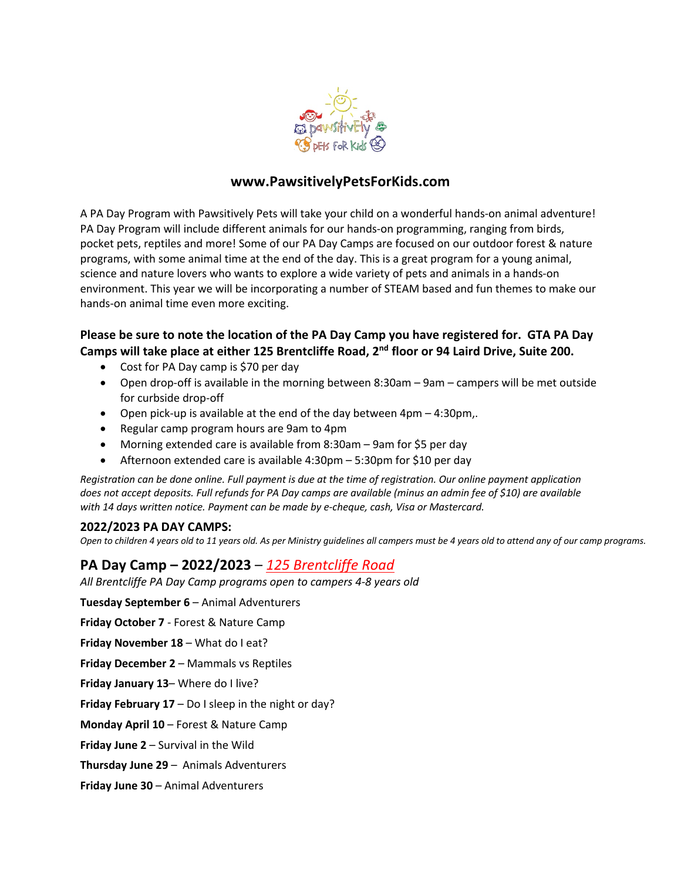

## **www.PawsitivelyPetsForKids.com**

A PA Day Program with Pawsitively Pets will take your child on a wonderful hands-on animal adventure! PA Day Program will include different animals for our hands-on programming, ranging from birds, pocket pets, reptiles and more! Some of our PA Day Camps are focused on our outdoor forest & nature programs, with some animal time at the end of the day. This is a great program for a young animal, science and nature lovers who wants to explore a wide variety of pets and animals in a hands-on environment. This year we will be incorporating a number of STEAM based and fun themes to make our hands-on animal time even more exciting.

## **Please be sure to note the location of the PA Day Camp you have registered for. GTA PA Day Camps will take place at either 125 Brentcliffe Road, 2nd floor or 94 Laird Drive, Suite 200.**

- Cost for PA Day camp is \$70 per day
- Open drop-off is available in the morning between 8:30am 9am campers will be met outside for curbside drop-off
- Open pick-up is available at the end of the day between 4pm 4:30pm,.
- Regular camp program hours are 9am to 4pm
- Morning extended care is available from 8:30am 9am for \$5 per day
- Afternoon extended care is available 4:30pm 5:30pm for \$10 per day

*Registration can be done online. Full payment is due at the time of registration. Our online payment application does not accept deposits. Full refunds for PA Day camps are available (minus an admin fee of \$10) are available with 14 days written notice. Payment can be made by e-cheque, cash, Visa or Mastercard.* 

#### **2022/2023 PA DAY CAMPS:**

*Open to children 4 years old to 11 years old. As per Ministry guidelines all campers must be 4 years old to attend any of our camp programs.* 

## **PA Day Camp – 2022/2023** – *125 Brentcliffe Road*

*All Brentcliffe PA Day Camp programs open to campers 4-8 years old*

**Tuesday September 6** – Animal Adventurers

**Friday October 7** - Forest & Nature Camp

**Friday November 18** – What do I eat?

**Friday December 2** – Mammals vs Reptiles

**Friday January 13**– Where do I live?

**Friday February 17** – Do I sleep in the night or day?

**Monday April 10** – Forest & Nature Camp

**Friday June 2** – Survival in the Wild

**Thursday June 29** – Animals Adventurers

**Friday June 30** – Animal Adventurers